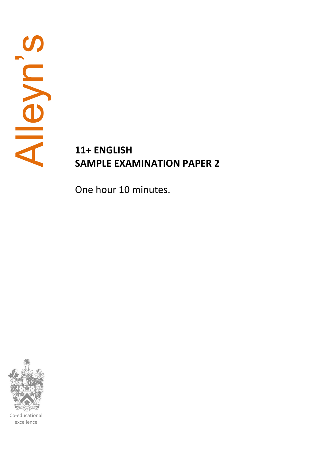# Alleyn's

# **11+ ENGLISH SAMPLE EXAMINATION PAPER 2**

One hour 10 minutes.



Co-educational excellence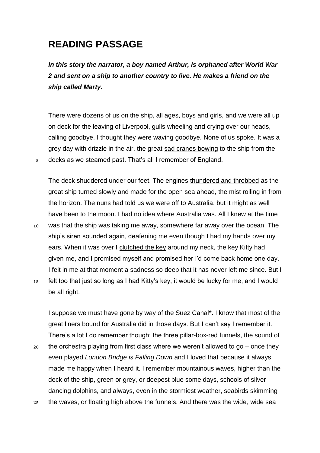# **READING PASSAGE**

*In this story the narrator, a boy named Arthur, is orphaned after World War 2 and sent on a ship to another country to live. He makes a friend on the ship called Marty.* 

There were dozens of us on the ship, all ages, boys and girls, and we were all up on deck for the leaving of Liverpool, gulls wheeling and crying over our heads, calling goodbye. I thought they were waving goodbye. None of us spoke. It was a grey day with drizzle in the air, the great sad cranes bowing to the ship from the **<sup>5</sup>** docks as we steamed past. That's all I remember of England.

The deck shuddered under our feet. The engines thundered and throbbed as the great ship turned slowly and made for the open sea ahead, the mist rolling in from the horizon. The nuns had told us we were off to Australia, but it might as well have been to the moon. I had no idea where Australia was. All I knew at the time **<sup>10</sup>** was that the ship was taking me away, somewhere far away over the ocean. The ship's siren sounded again, deafening me even though I had my hands over my ears. When it was over I clutched the key around my neck, the key Kitty had given me, and I promised myself and promised her I'd come back home one day. I felt in me at that moment a sadness so deep that it has never left me since. But I

**<sup>15</sup>** felt too that just so long as I had Kitty's key, it would be lucky for me, and I would be all right.

I suppose we must have gone by way of the Suez Canal\*. I know that most of the great liners bound for Australia did in those days. But I can't say I remember it. There's a lot I do remember though: the three pillar-box-red funnels, the sound of

**<sup>20</sup>** the orchestra playing from first class where we weren't allowed to go – once they even played *London Bridge is Falling Down* and I loved that because it always made me happy when I heard it. I remember mountainous waves, higher than the deck of the ship, green or grey, or deepest blue some days, schools of silver dancing dolphins, and always, even in the stormiest weather, seabirds skimming

**<sup>25</sup>** the waves, or floating high above the funnels. And there was the wide, wide sea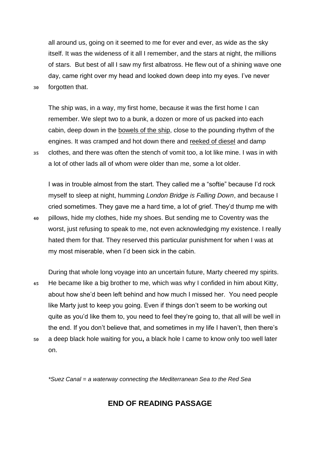all around us, going on it seemed to me for ever and ever, as wide as the sky itself. It was the wideness of it all I remember, and the stars at night, the millions of stars. But best of all I saw my first albatross. He flew out of a shining wave one day, came right over my head and looked down deep into my eyes. I've never

**<sup>30</sup>** forgotten that.

The ship was, in a way, my first home, because it was the first home I can remember. We slept two to a bunk, a dozen or more of us packed into each cabin, deep down in the bowels of the ship, close to the pounding rhythm of the engines. It was cramped and hot down there and reeked of diesel and damp **<sup>35</sup>** clothes, and there was often the stench of vomit too, a lot like mine. I was in with a lot of other lads all of whom were older than me, some a lot older.

I was in trouble almost from the start. They called me a "softie" because I'd rock myself to sleep at night, humming *London Bridge is Falling Down*, and because I cried sometimes. They gave me a hard time, a lot of grief. They'd thump me with **<sup>40</sup>** pillows, hide my clothes, hide my shoes. But sending me to Coventry was the worst, just refusing to speak to me, not even acknowledging my existence. I really hated them for that. They reserved this particular punishment for when I was at my most miserable, when I'd been sick in the cabin.

During that whole long voyage into an uncertain future, Marty cheered my spirits. **<sup>45</sup>** He became like a big brother to me, which was why I confided in him about Kitty, about how she'd been left behind and how much I missed her. You need people like Marty just to keep you going. Even if things don't seem to be working out quite as you'd like them to, you need to feel they're going to, that all will be well in the end. If you don't believe that, and sometimes in my life I haven't, then there's **<sup>50</sup>** a deep black hole waiting for you**,** a black hole I came to know only too well later on.

*\*Suez Canal = a waterway connecting the Mediterranean Sea to the Red Sea*

## **END OF READING PASSAGE**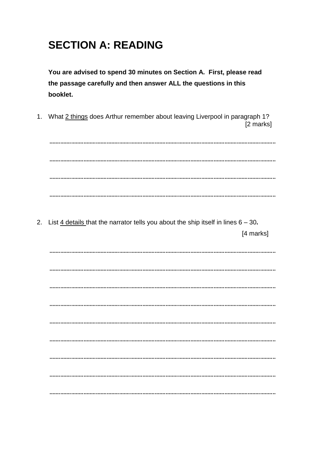# **SECTION A: READING**

You are advised to spend 30 minutes on Section A. First, please read the passage carefully and then answer ALL the questions in this booklet.

1. What 2 things does Arthur remember about leaving Liverpool in paragraph 1? [2 marks]

2. List  $\frac{4}{5}$  details that the narrator tells you about the ship itself in lines  $6 - 30$ . [4 marks]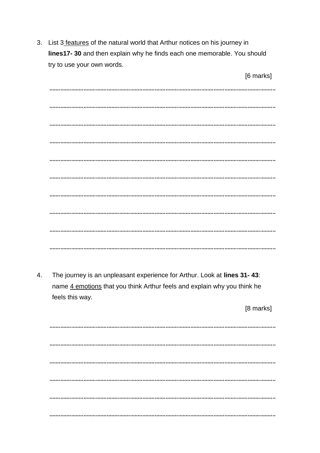3. List 3 features of the natural world that Arthur notices on his journey in lines17-30 and then explain why he finds each one memorable. You should try to use your own words.

[6 marks] The journey is an unpleasant experience for Arthur. Look at lines 31-43: name 4 emotions that you think Arthur feels and explain why you think he feels this way. [8 marks] 

 $\overline{4}$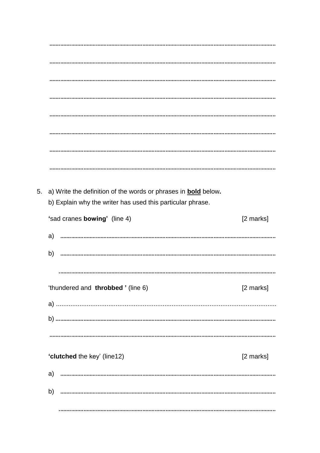5. a) Write the definition of the words or phrases in **bold** below. b) Explain why the writer has used this particular phrase. 'sad cranes bowing' (line 4) [2 marks] 'thundered and throbbed' (line 6) [2 marks] 'clutched the key' (line12) [2 marks]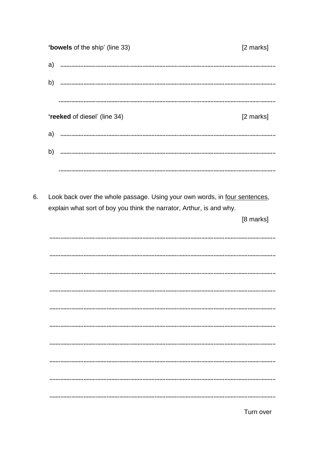|    | 'bowels of the ship' (line 33)                                                                                                                     | [2 marks] |
|----|----------------------------------------------------------------------------------------------------------------------------------------------------|-----------|
|    | a)                                                                                                                                                 |           |
|    | b)                                                                                                                                                 |           |
|    |                                                                                                                                                    |           |
|    | 'reeked of diesel' (line 34)                                                                                                                       | [2 marks] |
|    | a)                                                                                                                                                 |           |
|    | b)                                                                                                                                                 |           |
|    |                                                                                                                                                    |           |
| 6. | Look back over the whole passage. Using your own words, in four sentences,<br>explain what sort of boy you think the narrator, Arthur, is and why. |           |
|    |                                                                                                                                                    | [8 marks] |
|    |                                                                                                                                                    |           |
|    |                                                                                                                                                    |           |
|    |                                                                                                                                                    |           |
|    |                                                                                                                                                    |           |
|    |                                                                                                                                                    |           |
|    |                                                                                                                                                    |           |
|    |                                                                                                                                                    |           |
|    |                                                                                                                                                    |           |
|    |                                                                                                                                                    |           |
|    |                                                                                                                                                    |           |

Turn over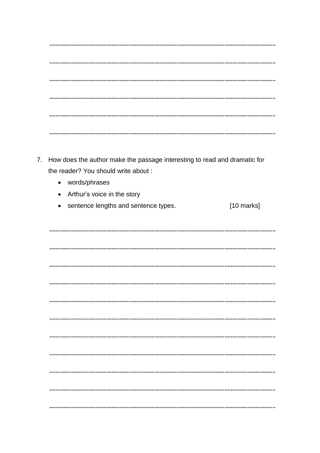- 7. How does the author make the passage interesting to read and dramatic for the reader? You should write about :
	- words/phrases
	- Arthur's voice in the story
	- sentence lengths and sentence types. [10 marks]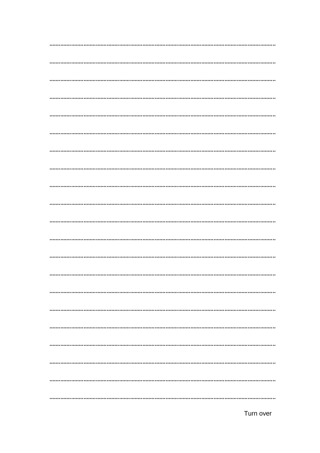Turn over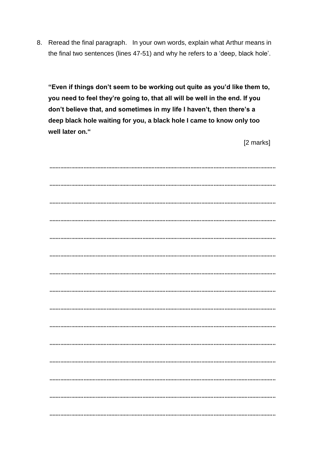8. Reread the final paragraph. In your own words, explain what Arthur means in the final two sentences (lines 47-51) and why he refers to a 'deep, black hole'.

"Even if things don't seem to be working out quite as you'd like them to, you need to feel they're going to, that all will be well in the end. If you don't believe that, and sometimes in my life I haven't, then there's a deep black hole waiting for you, a black hole I came to know only too well later on."

[2 marks]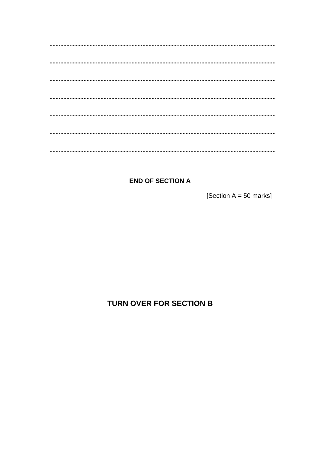**END OF SECTION A** 

[Section A = 50 marks]

# TURN OVER FOR SECTION B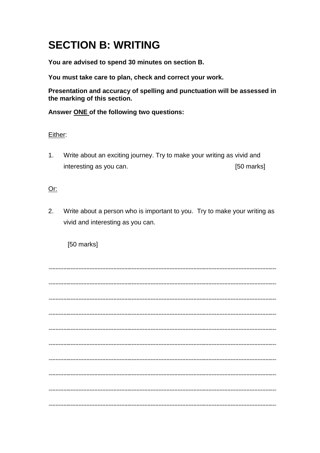# **SECTION B: WRITING**

You are advised to spend 30 minutes on section B.

You must take care to plan, check and correct your work.

Presentation and accuracy of spelling and punctuation will be assessed in the marking of this section.

Answer ONE of the following two questions:

### Either:

Write about an exciting journey. Try to make your writing as vivid and  $\mathbf{1}$ .  $[50$  marks] interesting as you can.

### Or:

 $2.$ Write about a person who is important to you. Try to make your writing as vivid and interesting as you can.

[50 marks]